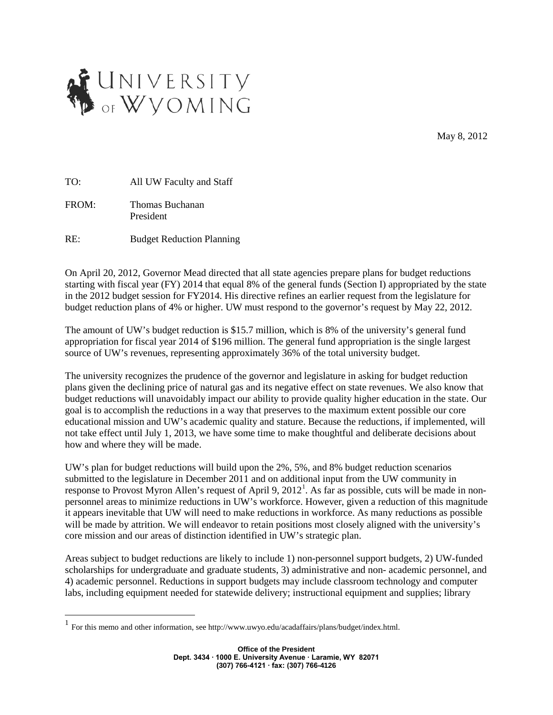

May 8, 2012

TO: All UW Faculty and Staff

FROM: Thomas Buchanan President

RE: Budget Reduction Planning

On April 20, 2012, Governor Mead directed that all state agencies prepare plans for budget reductions starting with fiscal year (FY) 2014 that equal 8% of the general funds (Section I) appropriated by the state in the 2012 budget session for FY2014. His directive refines an earlier request from the legislature for budget reduction plans of 4% or higher. UW must respond to the governor's request by May 22, 2012.

The amount of UW's budget reduction is \$15.7 million, which is 8% of the university's general fund appropriation for fiscal year 2014 of \$196 million. The general fund appropriation is the single largest source of UW's revenues, representing approximately 36% of the total university budget.

The university recognizes the prudence of the governor and legislature in asking for budget reduction plans given the declining price of natural gas and its negative effect on state revenues. We also know that budget reductions will unavoidably impact our ability to provide quality higher education in the state. Our goal is to accomplish the reductions in a way that preserves to the maximum extent possible our core educational mission and UW's academic quality and stature. Because the reductions, if implemented, will not take effect until July 1, 2013, we have some time to make thoughtful and deliberate decisions about how and where they will be made.

UW's plan for budget reductions will build upon the 2%, 5%, and 8% budget reduction scenarios submitted to the legislature in December 2011 and on additional input from the UW community in response to Provost Myron Allen's request of April 9, 20[1](#page-0-0)2<sup>1</sup>. As far as possible, cuts will be made in nonpersonnel areas to minimize reductions in UW's workforce. However, given a reduction of this magnitude it appears inevitable that UW will need to make reductions in workforce. As many reductions as possible will be made by attrition. We will endeavor to retain positions most closely aligned with the university's core mission and our areas of distinction identified in UW's strategic plan.

Areas subject to budget reductions are likely to include 1) non-personnel support budgets, 2) UW-funded scholarships for undergraduate and graduate students, 3) administrative and non- academic personnel, and 4) academic personnel. Reductions in support budgets may include classroom technology and computer labs, including equipment needed for statewide delivery; instructional equipment and supplies; library

<span id="page-0-0"></span> <sup>1</sup> For this memo and other information, see [http://www.uwyo.edu/acadaffairs/plans/budget/index.html.](http://www.uwyo.edu/acadaffairs/plans/budget/index.html)